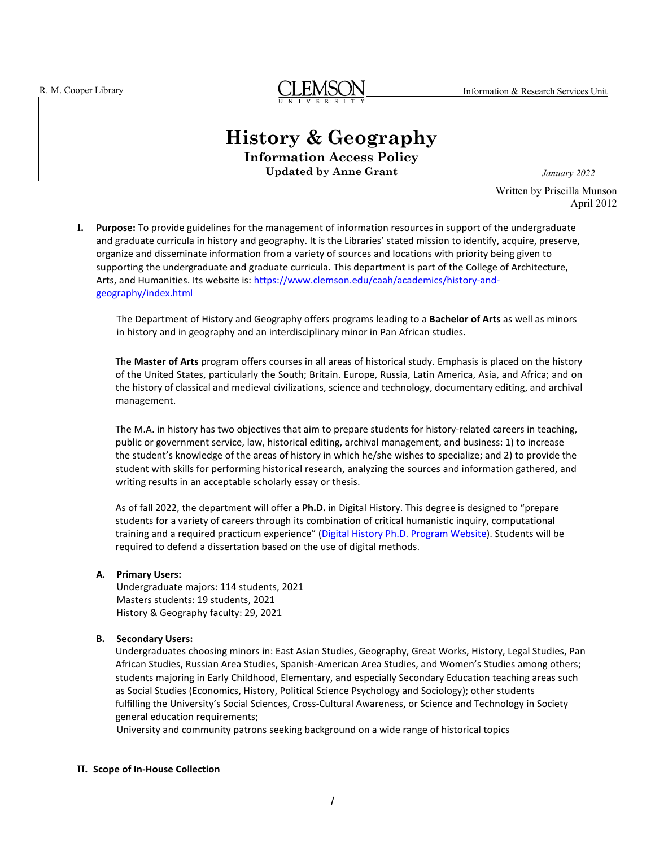

# **History & Geography**

**Information Access Policy Updated by Anne Grant** *January 2022*

Written by Priscilla Munson April 2012

**I. Purpose:** To provide guidelines for the management of information resources in support of the undergraduate and graduate curricula in history and geography. It is the Libraries' stated mission to identify, acquire, preserve, organize and disseminate information from a variety of sources and locations with priority being given to supporting the undergraduate and graduate curricula. This department is part of the College of Architecture, Arts, and Humanities. Its website is: [https://www.clemson.edu/caah/academics/history-and](https://www.clemson.edu/caah/academics/history-and-geography/index.html)[geography/index.html](https://www.clemson.edu/caah/academics/history-and-geography/index.html)

The Department of History and Geography offers programs leading to a **Bachelor of Arts** as well as minors in history and in geography and an interdisciplinary minor in Pan African studies.

The **Master of Arts** program offers courses in all areas of historical study. Emphasis is placed on the history of the United States, particularly the South; Britain. Europe, Russia, Latin America, Asia, and Africa; and on the history of classical and medieval civilizations, science and technology, documentary editing, and archival management.

The M.A. in history has two objectives that aim to prepare students for history-related careers in teaching, public or government service, law, historical editing, archival management, and business: 1) to increase the student's knowledge of the areas of history in which he/she wishes to specialize; and 2) to provide the student with skills for performing historical research, analyzing the sources and information gathered, and writing results in an acceptable scholarly essay or thesis.

As of fall 2022, the department will offer a **Ph.D.** in Digital History. This degree is designed to "prepare students for a variety of careers through its combination of critical humanistic inquiry, computational training and a required practicum experience" [\(Digital History Ph.D. Program Website\)](https://www.clemson.edu/caah/academics/history-and-geography/graduate/digital-history-phd/index.html). Students will be required to defend a dissertation based on the use of digital methods.

## **A. Primary Users:**

Undergraduate majors: 114 students, 2021 Masters students: 19 students, 2021 History & Geography faculty: 29, 2021

## **B. Secondary Users:**

Undergraduates choosing minors in: East Asian Studies, Geography, Great Works, History, Legal Studies, Pan African Studies, Russian Area Studies, Spanish-American Area Studies, and Women's Studies among others; students majoring in Early Childhood, Elementary, and especially Secondary Education teaching areas such as Social Studies (Economics, History, Political Science Psychology and Sociology); other students fulfilling the University's Social Sciences, Cross-Cultural Awareness, or Science and Technology in Society general education requirements;

University and community patrons seeking background on a wide range of historical topics

#### **II. Scope of In-House Collection**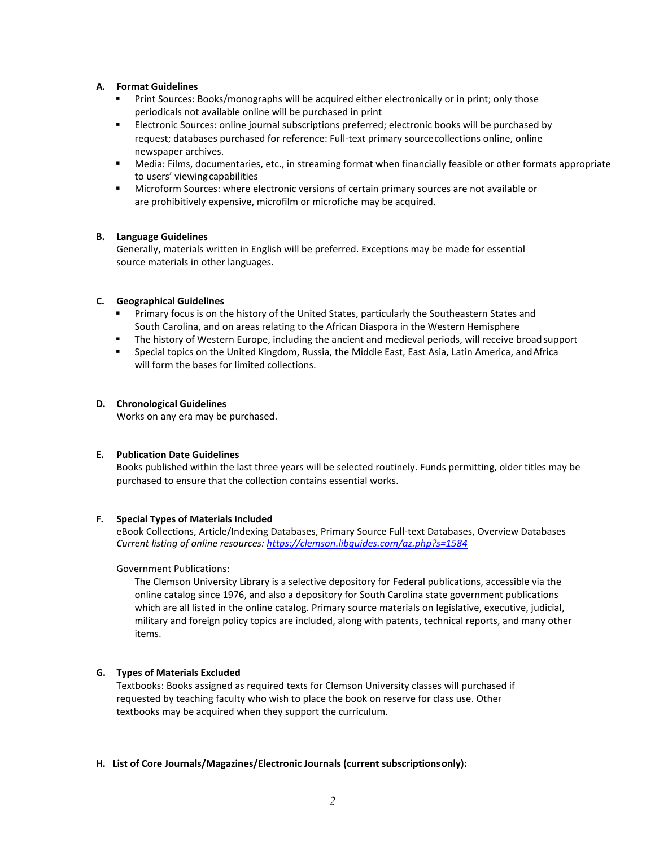# **A. Format Guidelines**

- Print Sources: Books/monographs will be acquired either electronically or in print; only those periodicals not available online will be purchased in print
- Electronic Sources: online journal subscriptions preferred; electronic books will be purchased by request; databases purchased for reference: Full-text primary sourcecollections online, online newspaper archives.
- Media: Films, documentaries, etc., in streaming format when financially feasible or other formats appropriate to users' viewing capabilities
- Microform Sources: where electronic versions of certain primary sources are not available or are prohibitively expensive, microfilm or microfiche may be acquired.

## **B. Language Guidelines**

Generally, materials written in English will be preferred. Exceptions may be made for essential source materials in other languages.

## **C. Geographical Guidelines**

- **Primary focus is on the history of the United States, particularly the Southeastern States and** South Carolina, and on areas relating to the African Diaspora in the Western Hemisphere
- The history of Western Europe, including the ancient and medieval periods, will receive broad support
- Special topics on the United Kingdom, Russia, the Middle East, East Asia, Latin America, andAfrica will form the bases for limited collections.

## **D. Chronological Guidelines**

Works on any era may be purchased.

## **E. Publication Date Guidelines**

Books published within the last three years will be selected routinely. Funds permitting, older titles may be purchased to ensure that the collection contains essential works.

# **F. Special Types of Materials Included**

eBook Collections, Article/Indexing Databases, Primary Source Full-text Databases, Overview Databases *Current listing of online resources[: https://clemson.libguides.com/az.php?s=1584](https://clemson.libguides.com/az.php?s=1584)*

Government Publications:

The Clemson University Library is a selective depository for Federal publications, accessible via the online catalog since 1976, and also a depository for South Carolina state government publications which are all listed in the online catalog. Primary source materials on legislative, executive, judicial, military and foreign policy topics are included, along with patents, technical reports, and many other items.

# **G. Types of Materials Excluded**

Textbooks: Books assigned as required texts for Clemson University classes will purchased if requested by teaching faculty who wish to place the book on reserve for class use. Other textbooks may be acquired when they support the curriculum.

## **H. List of Core Journals/Magazines/Electronic Journals (current subscriptionsonly):**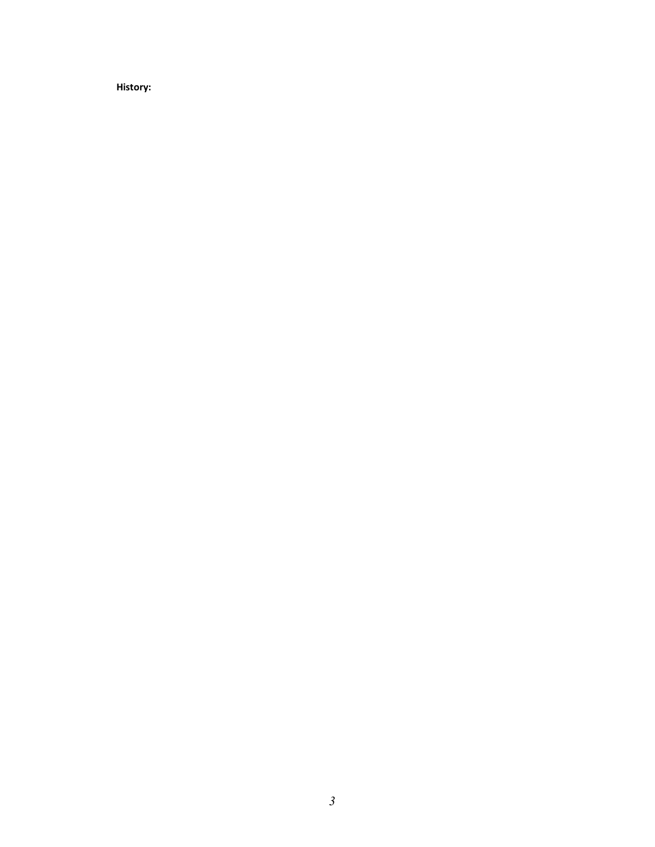**History:**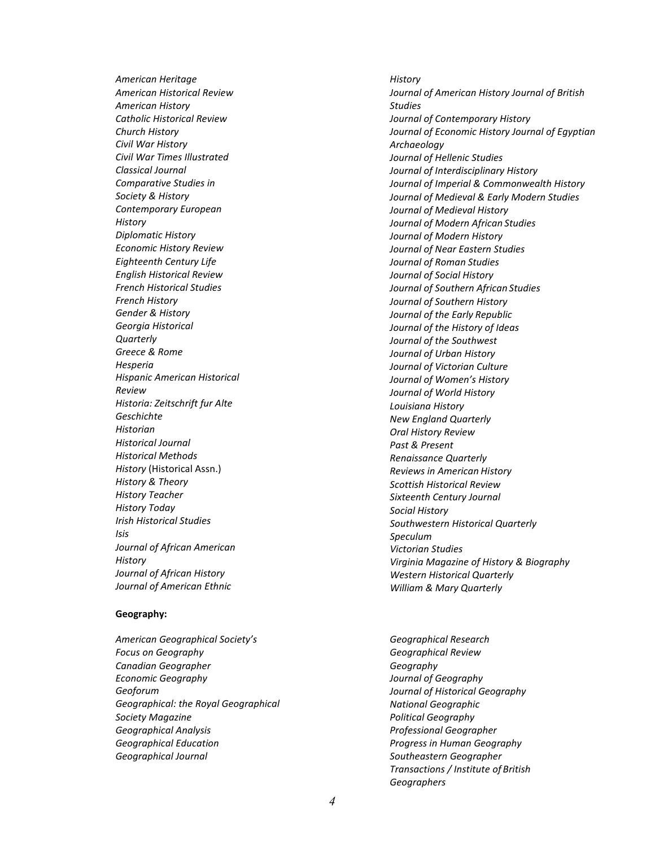*American Heritage American Historical Review American History Catholic Historical Review Church History Civil War History Civil War Times Illustrated Classical Journal Comparative Studies in Society & History Contemporary European History Diplomatic History Economic History Review Eighteenth Century Life English Historical Review French Historical Studies French History Gender & History Georgia Historical Quarterly Greece & Rome Hesperia Hispanic American Historical Review Historia: Zeitschrift fur Alte Geschichte Historian Historical Journal Historical Methods History* (Historical Assn.) *History & Theory History Teacher History Today Irish Historical Studies Isis Journal of African American History Journal of African History Journal of American Ethnic* 

## **Geography:**

*American Geographical Society's Focus on Geography Canadian Geographer Economic Geography Geoforum Geographical: the Royal Geographical Society Magazine Geographical Analysis Geographical Education Geographical Journal*

*History Journal of American History Journal of British Studies Journal of Contemporary History Journal of Economic History Journal of Egyptian Archaeology Journal of Hellenic Studies Journal of Interdisciplinary History Journal of Imperial & Commonwealth History Journal of Medieval & Early Modern Studies Journal of Medieval History Journal of Modern African Studies Journal of Modern History Journal of Near Eastern Studies Journal of Roman Studies Journal of Social History Journal of Southern African Studies Journal of Southern History Journal of the Early Republic Journal of the History of Ideas Journal of the Southwest Journal of Urban History Journal of Victorian Culture Journal of Women's History Journal of World History Louisiana History New England Quarterly Oral History Review Past & Present Renaissance Quarterly Reviews in American History Scottish Historical Review Sixteenth Century Journal Social History Southwestern Historical Quarterly Speculum Victorian Studies Virginia Magazine of History & Biography Western Historical Quarterly William & Mary Quarterly*

*Geographical Research Geographical Review Geography Journal of Geography Journal of Historical Geography National Geographic Political Geography Professional Geographer Progress in Human Geography Southeastern Geographer Transactions / Institute of British Geographers*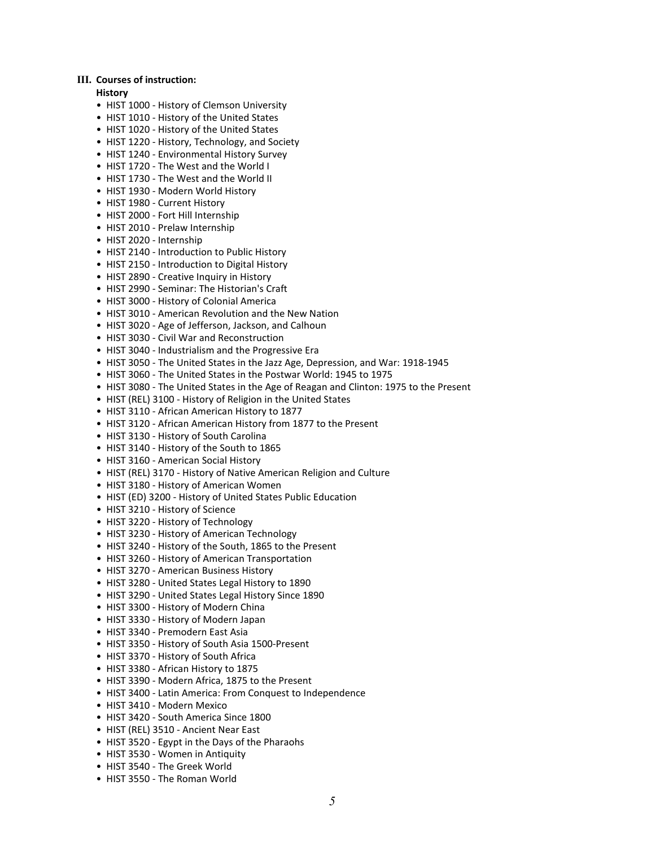#### **III. Courses of instruction:**

#### **History**

- HIST 1000 History of Clemson University
- HIST 1010 History of the United States
- HIST 1020 History of the United States
- HIST 1220 History, Technology, and Society
- HIST 1240 Environmental History Survey
- HIST 1720 The West and the World I
- HIST 1730 The West and the World II
- HIST 1930 Modern World History
- HIST 1980 Current History
- HIST 2000 Fort Hill Internship
- HIST 2010 Prelaw Internship
- HIST 2020 Internship
- HIST 2140 Introduction to Public History
- HIST 2150 Introduction to Digital History
- HIST 2890 Creative Inquiry in History
- HIST 2990 Seminar: The Historian's Craft
- HIST 3000 History of Colonial America
- HIST 3010 American Revolution and the New Nation
- HIST 3020 Age of Jefferson, Jackson, and Calhoun
- HIST 3030 Civil War and Reconstruction
- HIST 3040 Industrialism and the Progressive Era
- HIST 3050 The United States in the Jazz Age, Depression, and War: 1918-1945
- HIST 3060 The United States in the Postwar World: 1945 to 1975
- HIST 3080 The United States in the Age of Reagan and Clinton: 1975 to the Present
- HIST (REL) 3100 History of Religion in the United States
- HIST 3110 African American History to 1877
- HIST 3120 African American History from 1877 to the Present
- HIST 3130 History of South Carolina
- HIST 3140 History of the South to 1865
- HIST 3160 American Social History
- HIST (REL) 3170 History of Native American Religion and Culture
- HIST 3180 History of American Women
- HIST (ED) 3200 History of United States Public Education
- HIST 3210 History of Science
- HIST 3220 History of Technology
- HIST 3230 History of American Technology
- HIST 3240 History of the South, 1865 to the Present
- HIST 3260 History of American Transportation
- HIST 3270 American Business History
- HIST 3280 United States Legal History to 1890
- HIST 3290 United States Legal History Since 1890
- HIST 3300 History of Modern China
- HIST 3330 History of Modern Japan
- HIST 3340 Premodern East Asia
- HIST 3350 History of South Asia 1500-Present
- HIST 3370 History of South Africa
- HIST 3380 African History to 1875
- HIST 3390 Modern Africa, 1875 to the Present
- HIST 3400 Latin America: From Conquest to Independence
- HIST 3410 Modern Mexico
- HIST 3420 South America Since 1800
- HIST (REL) 3510 Ancient Near East
- HIST 3520 Egypt in the Days of the Pharaohs
- HIST 3530 Women in Antiquity
- HIST 3540 The Greek World
- HIST 3550 The Roman World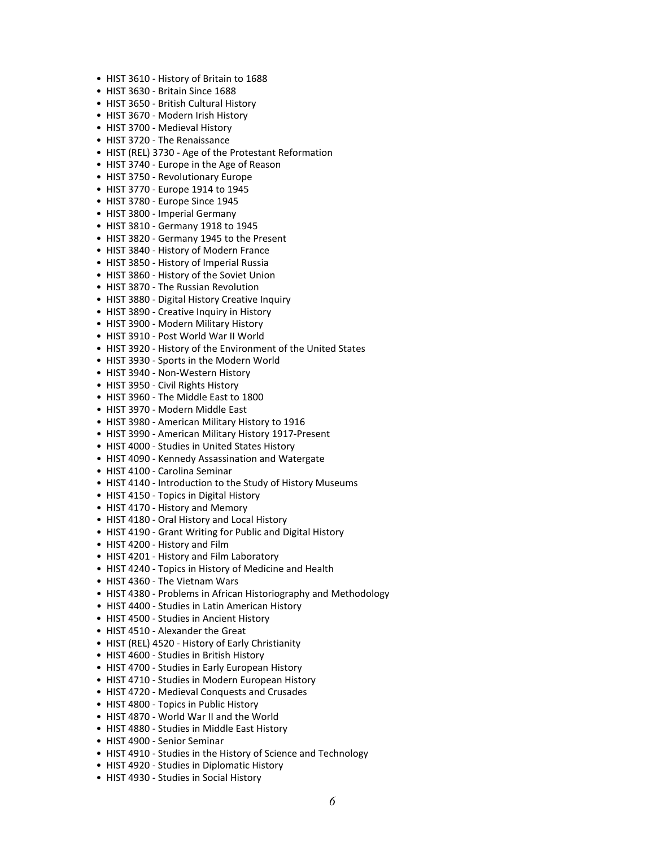- HIST 3610 History of Britain to 1688
- HIST 3630 Britain Since 1688
- HIST 3650 British Cultural History
- HIST 3670 Modern Irish History
- HIST 3700 Medieval History
- HIST 3720 The Renaissance
- HIST (REL) 3730 Age of the Protestant Reformation
- HIST 3740 Europe in the Age of Reason
- HIST 3750 Revolutionary Europe
- HIST 3770 Europe 1914 to 1945
- HIST 3780 Europe Since 1945
- HIST 3800 Imperial Germany
- HIST 3810 Germany 1918 to 1945
- HIST 3820 Germany 1945 to the Present
- HIST 3840 History of Modern France
- HIST 3850 History of Imperial Russia
- HIST 3860 History of the Soviet Union
- HIST 3870 The Russian Revolution
- HIST 3880 Digital History Creative Inquiry
- HIST 3890 Creative Inquiry in History
- HIST 3900 Modern Military History
- HIST 3910 Post World War II World
- HIST 3920 History of the Environment of the United States
- HIST 3930 Sports in the Modern World
- HIST 3940 Non-Western History
- HIST 3950 Civil Rights History
- HIST 3960 The Middle East to 1800
- HIST 3970 Modern Middle East
- HIST 3980 American Military History to 1916
- HIST 3990 American Military History 1917-Present
- HIST 4000 Studies in United States History
- HIST 4090 Kennedy Assassination and Watergate
- HIST 4100 Carolina Seminar
- HIST 4140 Introduction to the Study of History Museums
- HIST 4150 Topics in Digital History
- HIST 4170 History and Memory
- HIST 4180 Oral History and Local History
- HIST 4190 Grant Writing for Public and Digital History
- HIST 4200 History and Film
- HIST 4201 History and Film Laboratory
- HIST 4240 Topics in History of Medicine and Health
- HIST 4360 The Vietnam Wars
- HIST 4380 Problems in African Historiography and Methodology
- HIST 4400 Studies in Latin American History
- HIST 4500 Studies in Ancient History
- HIST 4510 Alexander the Great
- HIST (REL) 4520 History of Early Christianity
- HIST 4600 Studies in British History
- HIST 4700 Studies in Early European History
- HIST 4710 Studies in Modern European History
- HIST 4720 Medieval Conquests and Crusades
- HIST 4800 Topics in Public History
- HIST 4870 World War II and the World
- HIST 4880 Studies in Middle East History
- HIST 4900 Senior Seminar
- HIST 4910 Studies in the History of Science and Technology
- HIST 4920 Studies in Diplomatic History
- HIST 4930 Studies in Social History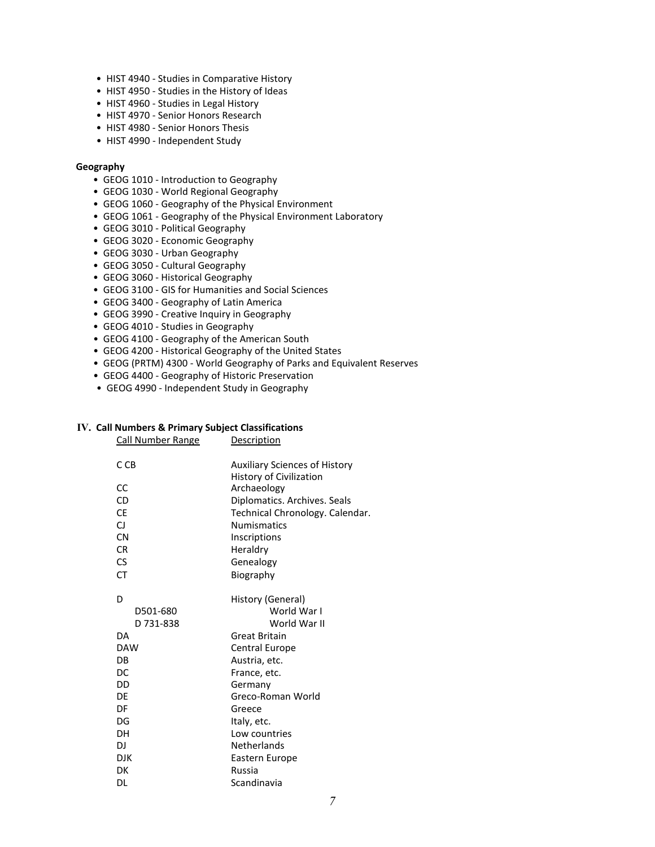- HIST 4940 Studies in Comparative History
- HIST 4950 Studies in the History of Ideas
- HIST 4960 Studies in Legal History
- HIST 4970 Senior Honors Research
- HIST 4980 Senior Honors Thesis
- HIST 4990 Independent Study

#### **Geography**

- GEOG 1010 Introduction to Geography
- GEOG 1030 World Regional Geography
- GEOG 1060 Geography of the Physical Environment
- GEOG 1061 Geography of the Physical Environment Laboratory
- GEOG 3010 Political Geography
- GEOG 3020 Economic Geography
- GEOG 3030 Urban Geography
- GEOG 3050 Cultural Geography
- GEOG 3060 Historical Geography
- GEOG 3100 GIS for Humanities and Social Sciences
- GEOG 3400 Geography of Latin America
- GEOG 3990 Creative Inquiry in Geography
- GEOG 4010 Studies in Geography
- GEOG 4100 Geography of the American South
- GEOG 4200 Historical Geography of the United States
- GEOG (PRTM) 4300 World Geography of Parks and Equivalent Reserves
- GEOG 4400 Geography of Historic Preservation
- GEOG 4990 Independent Study in Geography

## **IV. Call Numbers & Primary Subject Classifications**

Call Number Range Description

| C CB       | Auxiliary Sciences of History   |
|------------|---------------------------------|
|            | History of Civilization         |
| CC         | Archaeology                     |
| CD         | Diplomatics. Archives. Seals    |
| СE         | Technical Chronology. Calendar. |
| CJ         | <b>Numismatics</b>              |
| <b>CN</b>  | Inscriptions                    |
| <b>CR</b>  | Heraldry                        |
| CS.        | Genealogy                       |
| СT         | Biography                       |
| D          | History (General)               |
| D501-680   | World War I                     |
| D 731-838  | World War II                    |
| DA         | Great Britain                   |
| <b>DAW</b> | <b>Central Europe</b>           |
| <b>DB</b>  | Austria, etc.                   |
| DC         | France, etc.                    |
| DD         | Germany                         |
| DE         | Greco-Roman World               |
| DF         | Greece                          |
| DG         | Italy, etc.                     |
| DН         | Low countries                   |
| DJ         | Netherlands                     |
| <b>DJK</b> | Eastern Europe                  |
| DK         | Russia                          |
| DL         | Scandinavia                     |
|            |                                 |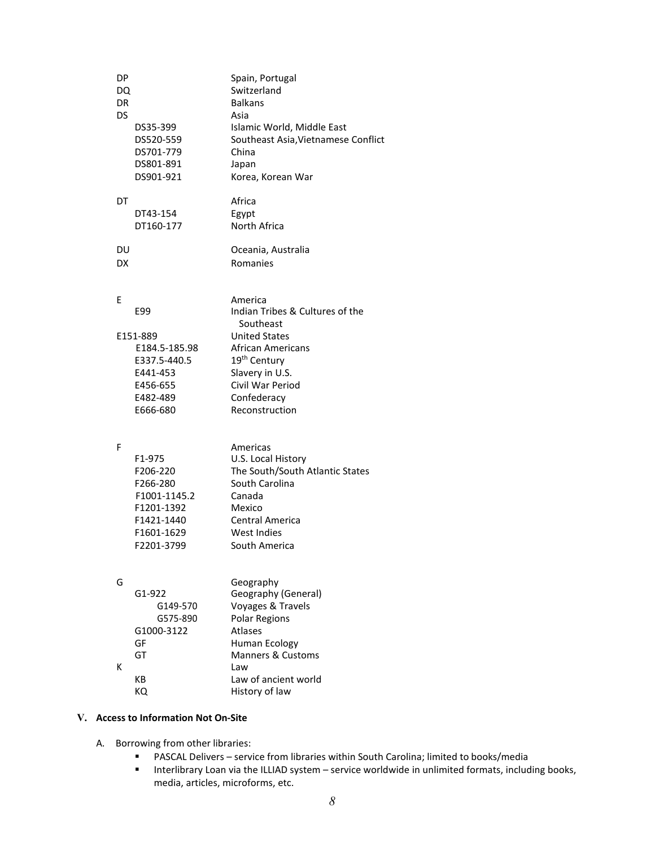| DP<br>DQ<br>DR<br>DS | DS35-399<br>DS520-559<br>DS701-779<br>DS801-891<br>DS901-921                                           | Spain, Portugal<br>Switzerland<br><b>Balkans</b><br>Asia<br>Islamic World, Middle East<br>Southeast Asia, Vietnamese Conflict<br>China<br>Japan<br>Korea, Korean War |
|----------------------|--------------------------------------------------------------------------------------------------------|----------------------------------------------------------------------------------------------------------------------------------------------------------------------|
| DT                   | DT43-154<br>DT160-177                                                                                  | Africa<br>Egypt<br>North Africa                                                                                                                                      |
| DU<br>DX             |                                                                                                        | Oceania, Australia<br>Romanies                                                                                                                                       |
| Е                    | E99                                                                                                    | America<br>Indian Tribes & Cultures of the<br>Southeast                                                                                                              |
|                      | E151-889<br>E184.5-185.98<br>E337.5-440.5<br>E441-453<br>E456-655<br>E482-489<br>E666-680              | <b>United States</b><br><b>African Americans</b><br>19 <sup>th</sup> Century<br>Slavery in U.S.<br>Civil War Period<br>Confederacy<br>Reconstruction                 |
| F                    | F1-975<br>F206-220<br>F266-280<br>F1001-1145.2<br>F1201-1392<br>F1421-1440<br>F1601-1629<br>F2201-3799 | Americas<br>U.S. Local History<br>The South/South Atlantic States<br>South Carolina<br>Canada<br>Mexico<br>Central America<br><b>West Indies</b><br>South America    |
| G                    | G1-922<br>G149-570<br>G575-890<br>G1000-3122<br>GF                                                     | Geography<br>Geography (General)<br>Voyages & Travels<br><b>Polar Regions</b><br>Atlases<br>Human Ecology                                                            |
| ĸ                    | GT<br>KВ<br>КQ                                                                                         | <b>Manners &amp; Customs</b><br>Law<br>Law of ancient world<br>History of law                                                                                        |

# **V. Access to Information Not On-Site**

- A. Borrowing from other libraries:
	- PASCAL Delivers service from libraries within South Carolina; limited to books/media
	- Interlibrary Loan via the ILLIAD system service worldwide in unlimited formats, including books, media, articles, microforms, etc.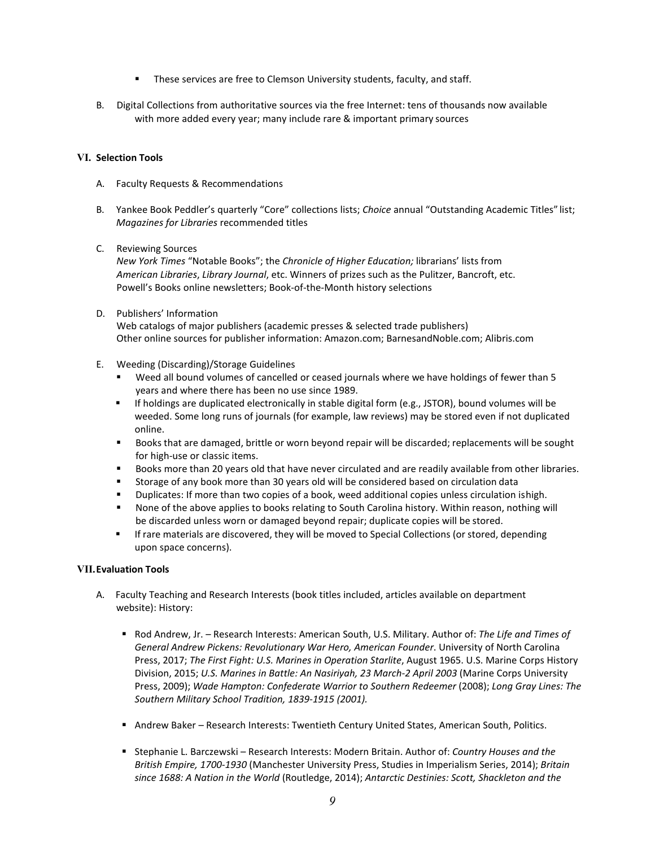- **These services are free to Clemson University students, faculty, and staff.**
- B. Digital Collections from authoritative sources via the free Internet: tens of thousands now available with more added every year; many include rare & important primary sources

# **VI. Selection Tools**

- A. Faculty Requests & Recommendations
- B. Yankee Book Peddler's quarterly "Core" collections lists; *Choice* annual "Outstanding Academic Titles" list; *Magazines for Libraries* recommended titles
- C. Reviewing Sources

*New York Times* "Notable Books"; the *Chronicle of Higher Education;* librarians' lists from *American Libraries*, *Library Journal*, etc. Winners of prizes such as the Pulitzer, Bancroft, etc. Powell's Books online newsletters; Book-of-the-Month history selections

D. Publishers' Information

Web catalogs of major publishers (academic presses & selected trade publishers) Other online sources for publisher information: Amazon.com; BarnesandNoble.com; Alibris.com

- E. Weeding (Discarding)/Storage Guidelines
	- Weed all bound volumes of cancelled or ceased journals where we have holdings of fewer than 5 years and where there has been no use since 1989.
	- If holdings are duplicated electronically in stable digital form (e.g., JSTOR), bound volumes will be weeded. Some long runs of journals (for example, law reviews) may be stored even if not duplicated online.
	- Books that are damaged, brittle or worn beyond repair will be discarded; replacements will be sought for high-use or classic items.
	- Books more than 20 years old that have never circulated and are readily available from other libraries.
	- Storage of any book more than 30 years old will be considered based on circulation data
	- Duplicates: If more than two copies of a book, weed additional copies unless circulation ishigh.
	- None of the above applies to books relating to South Carolina history. Within reason, nothing will be discarded unless worn or damaged beyond repair; duplicate copies will be stored.
	- **If rare materials are discovered, they will be moved to Special Collections (or stored, depending** upon space concerns).

## **VII.Evaluation Tools**

- A. Faculty Teaching and Research Interests (book titles included, articles available on department website): History:
	- Rod Andrew, Jr. Research Interests: American South, U.S. Military. Author of: *The Life and Times of General Andrew Pickens: Revolutionary War Hero, American Founder*. University of North Carolina Press, 2017; *The First Fight: U.S. Marines in Operation Starlite*, August 1965. U.S. Marine Corps History Division, 2015; *U.S. Marines in Battle: An Nasiriyah, 23 March-2 April 2003* (Marine Corps University Press, 2009); Wade Hampton: Confederate Warrior to Southern Redeemer (2008); Long Gray Lines: The *Southern Military School Tradition, 1839-1915 (2001).*
	- Andrew Baker Research Interests: Twentieth Century United States, American South, Politics.
	- Stephanie L. Barczewski Research Interests: Modern Britain. Author of: *Country Houses and the British Empire, 1700-1930* (Manchester University Press, Studies in Imperialism Series, 2014); *Britain since 1688: A Nation in the World* (Routledge, 2014); *Antarctic Destinies: Scott, Shackleton and the*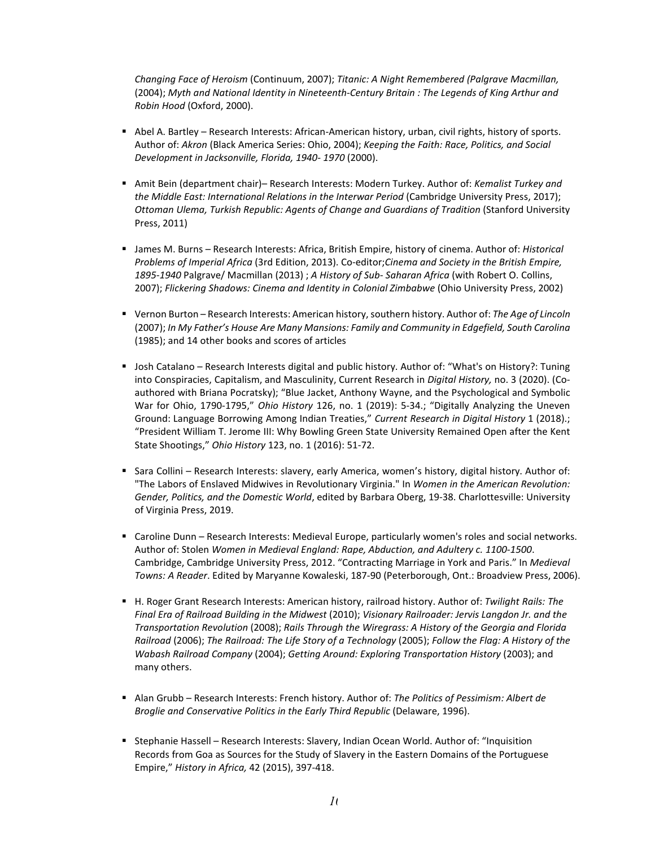*Changing Face of Heroism* (Continuum, 2007); *Titanic: A Night Remembered (Palgrave Macmillan,*  (2004); *Myth and National Identity in Nineteenth-Century Britain : The Legends of King Arthur and Robin Hood* (Oxford, 2000).

- Abel A. Bartley Research Interests: African-American history, urban, civil rights, history of sports. Author of: *Akron* (Black America Series: Ohio, 2004); *Keeping the Faith: Race, Politics, and Social Development in Jacksonville, Florida, 1940- 1970* (2000).
- Amit Bein (department chair)– Research Interests: Modern Turkey. Author of: *Kemalist Turkey and the Middle East: International Relations in the Interwar Period* (Cambridge University Press, 2017); *Ottoman Ulema, Turkish Republic: Agents of Change and Guardians of Tradition* (Stanford University Press, 2011)
- James M. Burns Research Interests: Africa, British Empire, history of cinema. Author of: *Historical Problems of Imperial Africa* (3rd Edition, 2013). Co-editor;*Cinema and Society in the British Empire, 1895-1940* Palgrave/ Macmillan (2013) ; *A History of Sub- Saharan Africa* (with Robert O. Collins, 2007); *Flickering Shadows: Cinema and Identity in Colonial Zimbabwe* (Ohio University Press, 2002)
- Vernon Burton Research Interests: American history, southern history. Author of: *The Age of Lincoln*  (2007); *In My Father's House Are Many Mansions: Family and Community in Edgefield, South Carolina*  (1985); and 14 other books and scores of articles
- Josh Catalano Research Interests digital and public history. Author of: "What's on History?: Tuning into Conspiracies, Capitalism, and Masculinity, Current Research in *Digital History,* no. 3 (2020). (Coauthored with Briana Pocratsky); "Blue Jacket, Anthony Wayne, and the Psychological and Symbolic War for Ohio, 1790-1795," *Ohio History* 126, no. 1 (2019): 5-34.; "Digitally Analyzing the Uneven Ground: Language Borrowing Among Indian Treaties," *Current Research in Digital History* 1 (2018).; "President William T. Jerome III: Why Bowling Green State University Remained Open after the Kent State Shootings," *Ohio History* 123, no. 1 (2016): 51-72.
- Sara Collini Research Interests: slavery, early America, women's history, digital history. Author of: "The Labors of Enslaved Midwives in Revolutionary Virginia." In *Women in the American Revolution: Gender, Politics, and the Domestic World*, edited by Barbara Oberg, 19-38. Charlottesville: University of Virginia Press, 2019.
- Caroline Dunn Research Interests: Medieval Europe, particularly women's roles and social networks. Author of: Stolen *Women in Medieval England: Rape, Abduction, and Adultery c. 1100-1500*. Cambridge, Cambridge University Press, 2012. "Contracting Marriage in York and Paris." In *Medieval Towns: A Reader*. Edited by Maryanne Kowaleski, 187-90 (Peterborough, Ont.: Broadview Press, 2006).
- H. Roger Grant Research Interests: American history, railroad history. Author of: *Twilight Rails: The Final Era of Railroad Building in the Midwest* (2010); *Visionary Railroader: Jervis Langdon Jr. and the Transportation Revolution* (2008); *Rails Through the Wiregrass: A History of the Georgia and Florida Railroad* (2006); *The Railroad: The Life Story of a Technology* (2005); *Follow the Flag: A History of the Wabash Railroad Company* (2004); *Getting Around: Exploring Transportation History* (2003); and many others.
- Alan Grubb Research Interests: French history. Author of: *The Politics of Pessimism: Albert de Broglie and Conservative Politics in the Early Third Republic* (Delaware, 1996).
- **Stephanie Hassell Research Interests: Slavery, Indian Ocean World. Author of: "Inquisition** Records from Goa as Sources for the Study of Slavery in the Eastern Domains of the Portuguese Empire," *History in Africa,* 42 (2015), 397-418.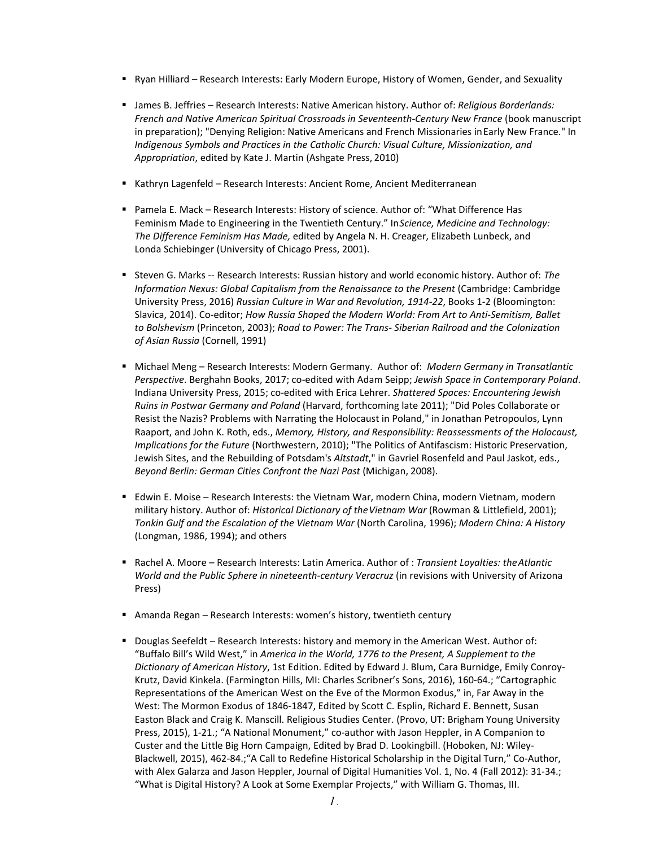- Ryan Hilliard Research Interests: Early Modern Europe, History of Women, Gender, and Sexuality
- James B. Jeffries Research Interests: Native American history. Author of: *Religious Borderlands: French and Native American Spiritual Crossroads in Seventeenth-Century New France* (book manuscript in preparation); "Denying Religion: Native Americans and French Missionaries inEarly New France." In *Indigenous Symbols and Practices in the Catholic Church: Visual Culture, Missionization, and Appropriation*, edited by Kate J. Martin (Ashgate Press, 2010)
- Kathryn Lagenfeld Research Interests: Ancient Rome, Ancient Mediterranean
- Pamela E. Mack Research Interests: History of science. Author of: "What Difference Has Feminism Made to Engineering in the Twentieth Century." In*Science, Medicine and Technology: The Difference Feminism Has Made,* edited by Angela N. H. Creager, Elizabeth Lunbeck, and Londa Schiebinger (University of Chicago Press, 2001).
- Steven G. Marks -- Research Interests: Russian history and world economic history. Author of: *The Information Nexus: Global Capitalism from the Renaissance to the Present* (Cambridge: Cambridge University Press, 2016) *Russian Culture in War and Revolution, 1914-22*, Books 1-2 (Bloomington: Slavica, 2014). Co-editor; *How Russia Shaped the Modern World: From Art to Anti-Semitism, Ballet to Bolshevism* (Princeton, 2003); *Road to Power: The Trans- Siberian Railroad and the Colonization of Asian Russia* (Cornell, 1991)
- Michael Meng Research Interests: Modern Germany. Author of: *Modern Germany in Transatlantic Perspective*. Berghahn Books, 2017; co-edited with Adam Seipp; *Jewish Space in Contemporary Poland*. Indiana University Press, 2015; co-edited with Erica Lehrer. *Shattered Spaces: Encountering Jewish Ruins in Postwar Germany and Poland* (Harvard, forthcoming late 2011); "Did Poles Collaborate or Resist the Nazis? Problems with Narrating the Holocaust in Poland," in Jonathan Petropoulos, Lynn Raaport, and John K. Roth, eds., *Memory, History, and Responsibility: Reassessments of the Holocaust, Implications for the Future* (Northwestern, 2010); "The Politics of Antifascism: Historic Preservation, Jewish Sites, and the Rebuilding of Potsdam's *Altstadt*," in Gavriel Rosenfeld and Paul Jaskot, eds., *Beyond Berlin: German Cities Confront the Nazi Past* (Michigan, 2008).
- Edwin E. Moise Research Interests: the Vietnam War, modern China, modern Vietnam, modern military history. Author of: *Historical Dictionary of theVietnam War* (Rowman & Littlefield, 2001); *Tonkin Gulf and the Escalation of the Vietnam War* (North Carolina, 1996); *Modern China: A History*  (Longman, 1986, 1994); and others
- Rachel A. Moore Research Interests: Latin America. Author of : *Transient Loyalties: theAtlantic World and the Public Sphere in nineteenth-century Veracruz* (in revisions with University of Arizona Press)
- Amanda Regan Research Interests: women's history, twentieth century
- Douglas Seefeldt Research Interests: history and memory in the American West. Author of: "Buffalo Bill's Wild West," in *America in the World, 1776 to the Present, A Supplement to the Dictionary of American History*, 1st Edition. Edited by Edward J. Blum, Cara Burnidge, Emily Conroy-Krutz, David Kinkela. (Farmington Hills, MI: Charles Scribner's Sons, 2016), 160-64.; "Cartographic Representations of the American West on the Eve of the Mormon Exodus," in, Far Away in the West: The Mormon Exodus of 1846-1847, Edited by Scott C. Esplin, Richard E. Bennett, Susan Easton Black and Craig K. Manscill. Religious Studies Center. (Provo, UT: Brigham Young University Press, 2015), 1-21.; "A National Monument," co-author with Jason Heppler, in A Companion to Custer and the Little Big Horn Campaign, Edited by Brad D. Lookingbill. (Hoboken, NJ: Wiley-Blackwell, 2015), 462-84.;"A Call to Redefine Historical Scholarship in the Digital Turn," Co-Author, with Alex Galarza and Jason Heppler, Journal of Digital Humanities Vol. 1, No. 4 (Fall 2012): 31-34.; "What is Digital History? A Look at Some Exemplar Projects," with William G. Thomas, III.